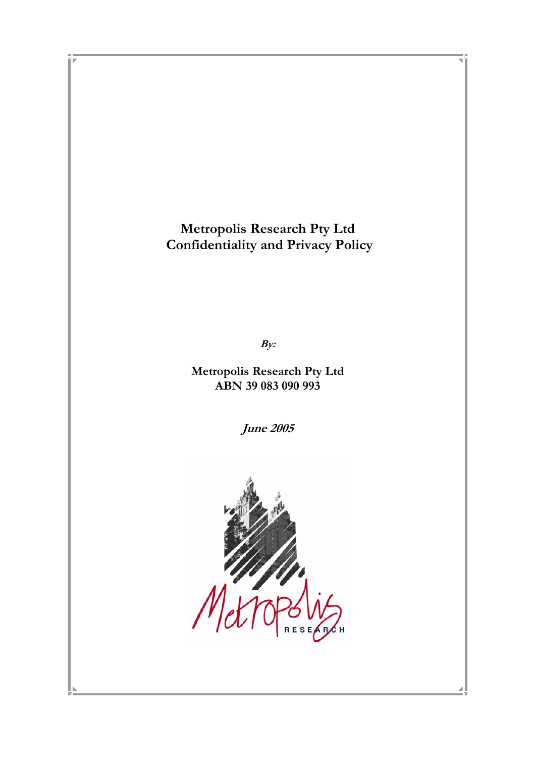